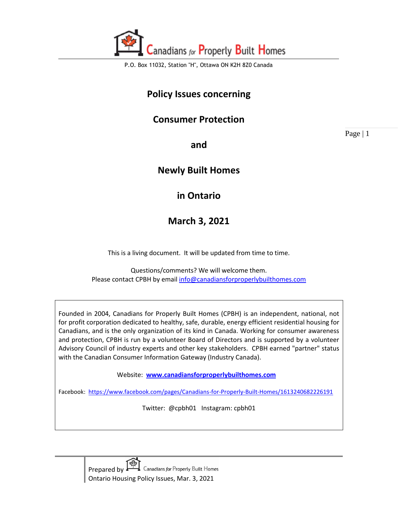

## **Policy Issues concerning**

## **Consumer Protection**

Page | 1

**and** 

## **Newly Built Homes**

## **in Ontario**

**March 3, 2021**

This is a living document. It will be updated from time to time.

Questions/comments? We will welcome them. Please contact CPBH by emai[l info@canadiansforproperlybuilthomes.com](mailto:info@canadiansforproperlybuilthomes.com)

Founded in 2004, Canadians for Properly Built Homes (CPBH) is an independent, national, not for profit corporation dedicated to healthy, safe, durable, energy efficient residential housing for Canadians, and is the only organization of its kind in Canada. Working for consumer awareness and protection, CPBH is run by a volunteer Board of Directors and is supported by a volunteer Advisory Council of industry experts and other key stakeholders. CPBH earned "partner" status with the Canadian Consumer Information Gateway (Industry Canada).

Website: **[www.canadiansforproperlybuilthomes.com](http://www.canadiansforproperlybuilthomes.com/)**

Facebook: <https://www.facebook.com/pages/Canadians-for-Properly-Built-Homes/1613240682226191>

Twitter: @cpbh01 Instagram: cpbh01

Canadians for Properly Built Homes Prepared by Ontario Housing Policy Issues, Mar. 3, 2021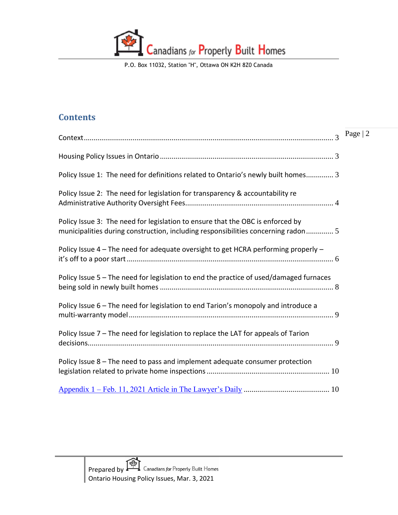

## **Contents**

| $\overline{\mathcal{L}}$                                                                                                                                            | Page $ 2$ |
|---------------------------------------------------------------------------------------------------------------------------------------------------------------------|-----------|
|                                                                                                                                                                     |           |
| Policy Issue 1: The need for definitions related to Ontario's newly built homes 3                                                                                   |           |
| Policy Issue 2: The need for legislation for transparency & accountability re                                                                                       |           |
| Policy Issue 3: The need for legislation to ensure that the OBC is enforced by<br>municipalities during construction, including responsibilities concerning radon 5 |           |
| Policy Issue 4 - The need for adequate oversight to get HCRA performing properly -                                                                                  |           |
| Policy Issue 5 - The need for legislation to end the practice of used/damaged furnaces                                                                              |           |
| Policy Issue 6 - The need for legislation to end Tarion's monopoly and introduce a                                                                                  |           |
| Policy Issue 7 - The need for legislation to replace the LAT for appeals of Tarion                                                                                  |           |
| Policy Issue 8 - The need to pass and implement adequate consumer protection                                                                                        |           |
|                                                                                                                                                                     |           |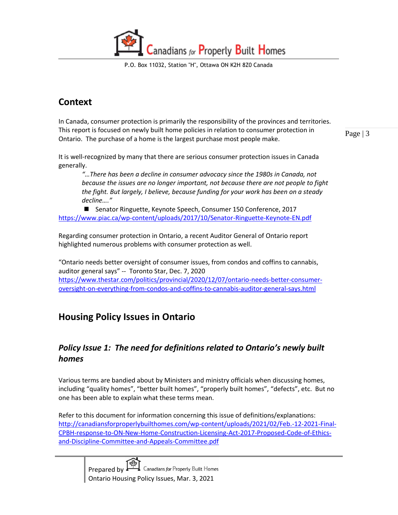Canadians for Properly Built Homes

## <span id="page-2-0"></span>**Context**

In Canada, consumer protection is primarily the responsibility of the provinces and territories. This report is focused on newly built home policies in relation to consumer protection in Ontario. The purchase of a home is the largest purchase most people make.

Page | 3

It is well-recognized by many that there are serious consumer protection issues in Canada generally.

*"…There has been a decline in consumer advocacy since the 1980s in Canada, not because the issues are no longer important, not because there are not people to fight the fight. But largely, I believe, because funding for your work has been on a steady decline…."* 

■ Senator Ringuette, Keynote Speech, Consumer 150 Conference, 2017 <https://www.piac.ca/wp-content/uploads/2017/10/Senator-Ringuette-Keynote-EN.pdf>

Regarding consumer protection in Ontario, a recent Auditor General of Ontario report highlighted numerous problems with consumer protection as well.

"Ontario needs better oversight of consumer issues, from condos and coffins to cannabis, auditor general says" -- Toronto Star, Dec. 7, 2020 [https://www.thestar.com/politics/provincial/2020/12/07/ontario-needs-better-consumer](https://www.thestar.com/politics/provincial/2020/12/07/ontario-needs-better-consumer-oversight-on-everything-from-condos-and-coffins-to-cannabis-auditor-general-says.html)[oversight-on-everything-from-condos-and-coffins-to-cannabis-auditor-general-says.html](https://www.thestar.com/politics/provincial/2020/12/07/ontario-needs-better-consumer-oversight-on-everything-from-condos-and-coffins-to-cannabis-auditor-general-says.html)

## <span id="page-2-1"></span>**Housing Policy Issues in Ontario**

## <span id="page-2-2"></span>*Policy Issue 1: The need for definitions related to Ontario's newly built homes*

Various terms are bandied about by Ministers and ministry officials when discussing homes, including "quality homes", "better built homes", "properly built homes", "defects", etc. But no one has been able to explain what these terms mean.

Refer to this document for information concerning this issue of definitions/explanations: [http://canadiansforproperlybuilthomes.com/wp-content/uploads/2021/02/Feb.-12-2021-Final-](http://canadiansforproperlybuilthomes.com/wp-content/uploads/2021/02/Feb.-12-2021-Final-CPBH-response-to-ON-New-Home-Construction-Licensing-Act-2017-Proposed-Code-of-Ethics-and-Discipline-Committee-and-Appeals-Committee.pdf)[CPBH-response-to-ON-New-Home-Construction-Licensing-Act-2017-Proposed-Code-of-Ethics](http://canadiansforproperlybuilthomes.com/wp-content/uploads/2021/02/Feb.-12-2021-Final-CPBH-response-to-ON-New-Home-Construction-Licensing-Act-2017-Proposed-Code-of-Ethics-and-Discipline-Committee-and-Appeals-Committee.pdf)[and-Discipline-Committee-and-Appeals-Committee.pdf](http://canadiansforproperlybuilthomes.com/wp-content/uploads/2021/02/Feb.-12-2021-Final-CPBH-response-to-ON-New-Home-Construction-Licensing-Act-2017-Proposed-Code-of-Ethics-and-Discipline-Committee-and-Appeals-Committee.pdf)

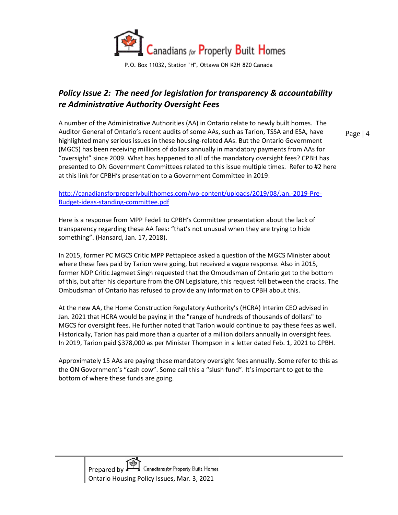

## <span id="page-3-0"></span>*Policy Issue 2: The need for legislation for transparency & accountability re Administrative Authority Oversight Fees*

A number of the Administrative Authorities (AA) in Ontario relate to newly built homes. The Auditor General of Ontario's recent audits of some AAs, such as Tarion, TSSA and ESA, have highlighted many serious issues in these housing-related AAs. But the Ontario Government (MGCS) has been receiving millions of dollars annually in mandatory payments from AAs for "oversight" since 2009. What has happened to all of the mandatory oversight fees? CPBH has presented to ON Government Committees related to this issue multiple times. Refer to #2 here at this link for CPBH's presentation to a Government Committee in 2019:

[http://canadiansforproperlybuilthomes.com/wp-content/uploads/2019/08/Jan.-2019-Pre-](http://canadiansforproperlybuilthomes.com/wp-content/uploads/2019/08/Jan.-2019-Pre-Budget-ideas-standing-committee.pdf)[Budget-ideas-standing-committee.pdf](http://canadiansforproperlybuilthomes.com/wp-content/uploads/2019/08/Jan.-2019-Pre-Budget-ideas-standing-committee.pdf)

Here is a response from MPP Fedeli to CPBH's Committee presentation about the lack of transparency regarding these AA fees: "that's not unusual when they are trying to hide something". (Hansard, Jan. 17, 2018).

In 2015, former PC MGCS Critic MPP Pettapiece asked a question of the MGCS Minister about where these fees paid by Tarion were going, but received a vague response. Also in 2015, former NDP Critic Jagmeet Singh requested that the Ombudsman of Ontario get to the bottom of this, but after his departure from the ON Legislature, this request fell between the cracks. The Ombudsman of Ontario has refused to provide any information to CPBH about this.

At the new AA, the Home Construction Regulatory Authority's (HCRA) Interim CEO advised in Jan. 2021 that HCRA would be paying in the "range of hundreds of thousands of dollars" to MGCS for oversight fees. He further noted that Tarion would continue to pay these fees as well. Historically, Tarion has paid more than a quarter of a million dollars annually in oversight fees. In 2019, Tarion paid \$378,000 as per Minister Thompson in a letter dated Feb. 1, 2021 to CPBH.

Approximately 15 AAs are paying these mandatory oversight fees annually. Some refer to this as the ON Government's "cash cow". Some call this a "slush fund". It's important to get to the bottom of where these funds are going.

Page | 4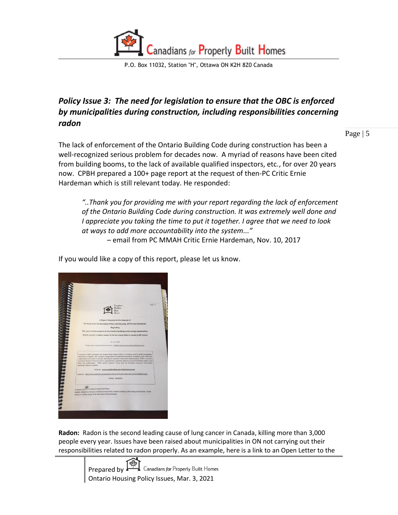

## <span id="page-4-0"></span>*Policy Issue 3: The need for legislation to ensure that the OBC is enforced by municipalities during construction, including responsibilities concerning radon*

Page | 5

The lack of enforcement of the Ontario Building Code during construction has been a well-recognized serious problem for decades now. A myriad of reasons have been cited from building booms, to the lack of available qualified inspectors, etc., for over 20 years now. CPBH prepared a 100+ page report at the request of then-PC Critic Ernie Hardeman which is still relevant today. He responded:

*"..Thank you for providing me with your report regarding the lack of enforcement of the Ontario Building Code during construction. It was extremely well done and I appreciate you taking the time to put it together. I agree that we need to look at ways to add more accountability into the system..."*

– email from PC MMAH Critic Ernie Hardeman, Nov. 10, 2017

If you would like a copy of this report, please let us know.

| Page   1<br>Canadians<br>Property<br>A Report Prepared at the Request of<br>PC Party Critic for Municipal Affairs and Housing, MPP Ernie Hardeman,<br><b>Regarding</b><br>The Lack of Enforcement of the Ontario Building Code during construction,<br>Which results in Safety Issues in far too many Ontario newly built homes<br>Oct. 11, 2017.<br>Please submit questions/comments to: info@canadiansforproperlybuilthomes.com -<br>Founded in 2004, Canadians for Properly Built Homes (CPBH) is a national, not for profit corporation<br>dedicated to healthy, safe, durable, energy efficient residential housing for Canadians, and is the only<br>organization of its kind in Canada. Working for consumer awareness and protection, CPBH is run by a<br>volunteer Board of Directors and is supported by a volunteer Advisory Council of Industry experts and<br>other key stakeholders. CPBH earned "partner" status with the Canadian Consumer Information<br>Gateway (Industry Canada).<br>Website: www.canadiansforproperlybuilthomes.com<br>Facebook: https://www.facebook.com/pages/Canadians-for-Property-Built-Homes/1613240682226191<br>Twitter: @cpbh01<br>Prepared by Canadian for Property Built Homes<br>Report related to the Lack of Enforcement of the Ontario Building Code during construction, which<br>results in Safety Issues in far too many Ontario homes | <b>NANARANA</b> |  |  |
|---------------------------------------------------------------------------------------------------------------------------------------------------------------------------------------------------------------------------------------------------------------------------------------------------------------------------------------------------------------------------------------------------------------------------------------------------------------------------------------------------------------------------------------------------------------------------------------------------------------------------------------------------------------------------------------------------------------------------------------------------------------------------------------------------------------------------------------------------------------------------------------------------------------------------------------------------------------------------------------------------------------------------------------------------------------------------------------------------------------------------------------------------------------------------------------------------------------------------------------------------------------------------------------------------------------------------------------------------------------------------------------------|-----------------|--|--|
|                                                                                                                                                                                                                                                                                                                                                                                                                                                                                                                                                                                                                                                                                                                                                                                                                                                                                                                                                                                                                                                                                                                                                                                                                                                                                                                                                                                             |                 |  |  |
|                                                                                                                                                                                                                                                                                                                                                                                                                                                                                                                                                                                                                                                                                                                                                                                                                                                                                                                                                                                                                                                                                                                                                                                                                                                                                                                                                                                             |                 |  |  |
|                                                                                                                                                                                                                                                                                                                                                                                                                                                                                                                                                                                                                                                                                                                                                                                                                                                                                                                                                                                                                                                                                                                                                                                                                                                                                                                                                                                             |                 |  |  |
|                                                                                                                                                                                                                                                                                                                                                                                                                                                                                                                                                                                                                                                                                                                                                                                                                                                                                                                                                                                                                                                                                                                                                                                                                                                                                                                                                                                             |                 |  |  |
|                                                                                                                                                                                                                                                                                                                                                                                                                                                                                                                                                                                                                                                                                                                                                                                                                                                                                                                                                                                                                                                                                                                                                                                                                                                                                                                                                                                             |                 |  |  |
|                                                                                                                                                                                                                                                                                                                                                                                                                                                                                                                                                                                                                                                                                                                                                                                                                                                                                                                                                                                                                                                                                                                                                                                                                                                                                                                                                                                             |                 |  |  |
|                                                                                                                                                                                                                                                                                                                                                                                                                                                                                                                                                                                                                                                                                                                                                                                                                                                                                                                                                                                                                                                                                                                                                                                                                                                                                                                                                                                             |                 |  |  |
|                                                                                                                                                                                                                                                                                                                                                                                                                                                                                                                                                                                                                                                                                                                                                                                                                                                                                                                                                                                                                                                                                                                                                                                                                                                                                                                                                                                             |                 |  |  |
|                                                                                                                                                                                                                                                                                                                                                                                                                                                                                                                                                                                                                                                                                                                                                                                                                                                                                                                                                                                                                                                                                                                                                                                                                                                                                                                                                                                             |                 |  |  |
|                                                                                                                                                                                                                                                                                                                                                                                                                                                                                                                                                                                                                                                                                                                                                                                                                                                                                                                                                                                                                                                                                                                                                                                                                                                                                                                                                                                             |                 |  |  |
|                                                                                                                                                                                                                                                                                                                                                                                                                                                                                                                                                                                                                                                                                                                                                                                                                                                                                                                                                                                                                                                                                                                                                                                                                                                                                                                                                                                             |                 |  |  |
|                                                                                                                                                                                                                                                                                                                                                                                                                                                                                                                                                                                                                                                                                                                                                                                                                                                                                                                                                                                                                                                                                                                                                                                                                                                                                                                                                                                             |                 |  |  |
|                                                                                                                                                                                                                                                                                                                                                                                                                                                                                                                                                                                                                                                                                                                                                                                                                                                                                                                                                                                                                                                                                                                                                                                                                                                                                                                                                                                             |                 |  |  |
|                                                                                                                                                                                                                                                                                                                                                                                                                                                                                                                                                                                                                                                                                                                                                                                                                                                                                                                                                                                                                                                                                                                                                                                                                                                                                                                                                                                             |                 |  |  |
|                                                                                                                                                                                                                                                                                                                                                                                                                                                                                                                                                                                                                                                                                                                                                                                                                                                                                                                                                                                                                                                                                                                                                                                                                                                                                                                                                                                             |                 |  |  |
|                                                                                                                                                                                                                                                                                                                                                                                                                                                                                                                                                                                                                                                                                                                                                                                                                                                                                                                                                                                                                                                                                                                                                                                                                                                                                                                                                                                             |                 |  |  |
|                                                                                                                                                                                                                                                                                                                                                                                                                                                                                                                                                                                                                                                                                                                                                                                                                                                                                                                                                                                                                                                                                                                                                                                                                                                                                                                                                                                             |                 |  |  |
|                                                                                                                                                                                                                                                                                                                                                                                                                                                                                                                                                                                                                                                                                                                                                                                                                                                                                                                                                                                                                                                                                                                                                                                                                                                                                                                                                                                             |                 |  |  |
|                                                                                                                                                                                                                                                                                                                                                                                                                                                                                                                                                                                                                                                                                                                                                                                                                                                                                                                                                                                                                                                                                                                                                                                                                                                                                                                                                                                             |                 |  |  |

**Radon:** Radon is the second leading cause of lung cancer in Canada, killing more than 3,000 people every year. Issues have been raised about municipalities in ON not carrying out their responsibilities related to radon properly. As an example, here is a link to an Open Letter to the

> Canadians for Properly Built Homes Prepared by  $\cdot$ Ontario Housing Policy Issues, Mar. 3, 2021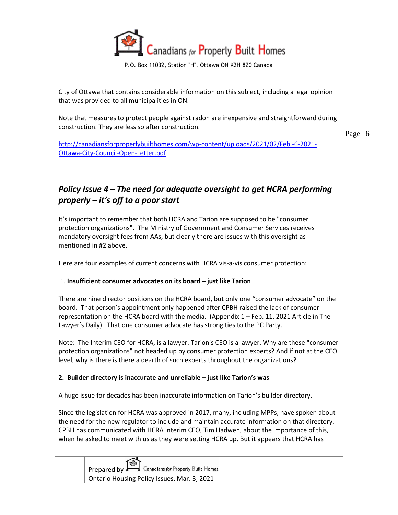

City of Ottawa that contains considerable information on this subject, including a legal opinion that was provided to all municipalities in ON.

Note that measures to protect people against radon are inexpensive and straightforward during construction. They are less so after construction.

Page | 6

[http://canadiansforproperlybuilthomes.com/wp-content/uploads/2021/02/Feb.-6-2021-](http://canadiansforproperlybuilthomes.com/wp-content/uploads/2021/02/Feb.-6-2021-Ottawa-City-Council-Open-Letter.pdf) [Ottawa-City-Council-Open-Letter.pdf](http://canadiansforproperlybuilthomes.com/wp-content/uploads/2021/02/Feb.-6-2021-Ottawa-City-Council-Open-Letter.pdf)

## <span id="page-5-0"></span>*Policy Issue 4 – The need for adequate oversight to get HCRA performing properly – it's off to a poor start*

It's important to remember that both HCRA and Tarion are supposed to be "consumer protection organizations". The Ministry of Government and Consumer Services receives mandatory oversight fees from AAs, but clearly there are issues with this oversight as mentioned in #2 above.

Here are four examples of current concerns with HCRA vis-a-vis consumer protection:

#### 1. **Insufficient consumer advocates on its board – just like Tarion**

There are nine director positions on the HCRA board, but only one "consumer advocate" on the board. That person's appointment only happened after CPBH raised the lack of consumer representation on the HCRA board with the media. (Appendix 1 – Feb. 11, 2021 Article in The Lawyer's Daily). That one consumer advocate has strong ties to the PC Party.

Note: The Interim CEO for HCRA, is a lawyer. Tarion's CEO is a lawyer. Why are these "consumer protection organizations" not headed up by consumer protection experts? And if not at the CEO level, why is there is there a dearth of such experts throughout the organizations?

#### **2. Builder directory is inaccurate and unreliable – just like Tarion's was**

A huge issue for decades has been inaccurate information on Tarion's builder directory.

Since the legislation for HCRA was approved in 2017, many, including MPPs, have spoken about the need for the new regulator to include and maintain accurate information on that directory. CPBH has communicated with HCRA Interim CEO, Tim Hadwen, about the importance of this, when he asked to meet with us as they were setting HCRA up. But it appears that HCRA has

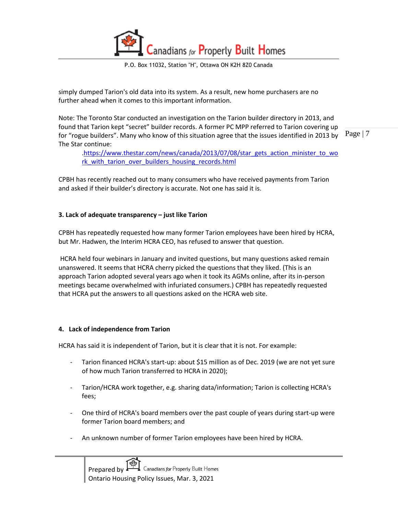Canadians for Properly Built Homes

simply dumped Tarion's old data into its system. As a result, new home purchasers are no further ahead when it comes to this important information.

Note: The Toronto Star conducted an investigation on the Tarion builder directory in 2013, and found that Tarion kept "secret" builder records. A former PC MPP referred to Tarion covering up for "rogue builders". Many who know of this situation agree that the issues identified in 2013 by The Star continue:

Page | 7

[.https://www.thestar.com/news/canada/2013/07/08/star\\_gets\\_action\\_minister\\_to\\_wo](https://www.thestar.com/news/canada/2013/07/08/star_gets_action_minister_to_work_with_tarion_over_builders_housing_records.html) rk with tarion over builders housing records.html

CPBH has recently reached out to many consumers who have received payments from Tarion and asked if their builder's directory is accurate. Not one has said it is.

#### **3. Lack of adequate transparency – just like Tarion**

CPBH has repeatedly requested how many former Tarion employees have been hired by HCRA, but Mr. Hadwen, the Interim HCRA CEO, has refused to answer that question.

HCRA held four webinars in January and invited questions, but many questions asked remain unanswered. It seems that HCRA cherry picked the questions that they liked. (This is an approach Tarion adopted several years ago when it took its AGMs online, after its in-person meetings became overwhelmed with infuriated consumers.) CPBH has repeatedly requested that HCRA put the answers to all questions asked on the HCRA web site.

#### **4. Lack of independence from Tarion**

HCRA has said it is independent of Tarion, but it is clear that it is not. For example:

- Tarion financed HCRA's start-up: about \$15 million as of Dec. 2019 (we are not yet sure of how much Tarion transferred to HCRA in 2020);
- Tarion/HCRA work together, e.g. sharing data/information; Tarion is collecting HCRA's fees;
- One third of HCRA's board members over the past couple of years during start-up were former Tarion board members; and
- An unknown number of former Tarion employees have been hired by HCRA.

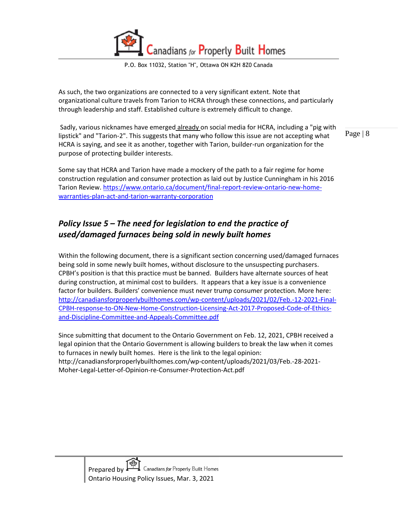

As such, the two organizations are connected to a very significant extent. Note that organizational culture travels from Tarion to HCRA through these connections, and particularly through leadership and staff. Established culture is extremely difficult to change.

Page | 8 Sadly, various nicknames have emerged already on social media for HCRA, including a "pig with lipstick" and "Tarion-2". This suggests that many who follow this issue are not accepting what HCRA is saying, and see it as another, together with Tarion, builder-run organization for the purpose of protecting builder interests.

Some say that HCRA and Tarion have made a mockery of the path to a fair regime for home construction regulation and consumer protection as laid out by Justice Cunningham in his 2016 Tarion Review[. https://www.ontario.ca/document/final-report-review-ontario-new-home](https://www.ontario.ca/document/final-report-review-ontario-new-home-warranties-plan-act-and-tarion-warranty-corporation)[warranties-plan-act-and-tarion-warranty-corporation](https://www.ontario.ca/document/final-report-review-ontario-new-home-warranties-plan-act-and-tarion-warranty-corporation)

## <span id="page-7-0"></span>*Policy Issue 5 – The need for legislation to end the practice of used/damaged furnaces being sold in newly built homes*

Within the following document, there is a significant section concerning used/damaged furnaces being sold in some newly built homes, without disclosure to the unsuspecting purchasers. CPBH's position is that this practice must be banned. Builders have alternate sources of heat during construction, at minimal cost to builders. It appears that a key issue is a convenience factor for builders. Builders' convenience must never trump consumer protection. More here: [http://canadiansforproperlybuilthomes.com/wp-content/uploads/2021/02/Feb.-12-2021-Final-](http://canadiansforproperlybuilthomes.com/wp-content/uploads/2021/02/Feb.-12-2021-Final-CPBH-response-to-ON-New-Home-Construction-Licensing-Act-2017-Proposed-Code-of-Ethics-and-Discipline-Committee-and-Appeals-Committee.pdf)[CPBH-response-to-ON-New-Home-Construction-Licensing-Act-2017-Proposed-Code-of-Ethics](http://canadiansforproperlybuilthomes.com/wp-content/uploads/2021/02/Feb.-12-2021-Final-CPBH-response-to-ON-New-Home-Construction-Licensing-Act-2017-Proposed-Code-of-Ethics-and-Discipline-Committee-and-Appeals-Committee.pdf)[and-Discipline-Committee-and-Appeals-Committee.pdf](http://canadiansforproperlybuilthomes.com/wp-content/uploads/2021/02/Feb.-12-2021-Final-CPBH-response-to-ON-New-Home-Construction-Licensing-Act-2017-Proposed-Code-of-Ethics-and-Discipline-Committee-and-Appeals-Committee.pdf)

Since submitting that document to the Ontario Government on Feb. 12, 2021, CPBH received a legal opinion that the Ontario Government is allowing builders to break the law when it comes to furnaces in newly built homes. Here is the link to the legal opinion: http://canadiansforproperlybuilthomes.com/wp-content/uploads/2021/03/Feb.-28-2021- Moher-Legal-Letter-of-Opinion-re-Consumer-Protection-Act.pdf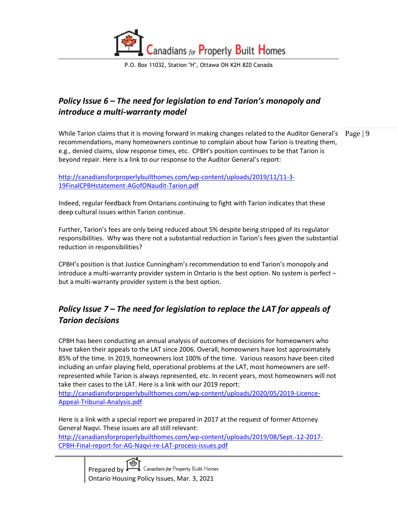

## <span id="page-8-0"></span>*Policy Issue 6 – The need for legislation to end Tarion's monopoly and introduce a multi-warranty model*

While Tarion claims that it is moving forward in making changes related to the Auditor General's  $\|$  Page  $\|$  9 recommendations, many homeowners continue to complain about how Tarion is treating them, e.g., denied claims, slow response times, etc. CPBH's position continues to be that Tarion is beyond repair. Here is a link to our response to the Auditor General's report:

[http://canadiansforproperlybuilthomes.com/wp-content/uploads/2019/11/11-3-](http://canadiansforproperlybuilthomes.com/wp-content/uploads/2019/11/11-3-19FinalCPBHstatement-AGofONaudit-Tarion.pdf) [19FinalCPBHstatement-AGofONaudit-Tarion.pdf](http://canadiansforproperlybuilthomes.com/wp-content/uploads/2019/11/11-3-19FinalCPBHstatement-AGofONaudit-Tarion.pdf)

Indeed, regular feedback from Ontarians continuing to fight with Tarion indicates that these deep cultural issues within Tarion continue.

Further, Tarion's fees are only being reduced about 5% despite being stripped of its regulator responsibilities. Why was there not a substantial reduction in Tarion's fees given the substantial reduction in responsibilities?

CPBH's position is that Justice Cunningham's recommendation to end Tarion's monopoly and introduce a multi-warranty provider system in Ontario is the best option. No system is perfect – but a multi-warranty provider system is the best option.

## <span id="page-8-1"></span>*Policy Issue 7 – The need for legislation to replace the LAT for appeals of Tarion decisions*

CPBH has been conducting an annual analysis of outcomes of decisions for homeowners who have taken their appeals to the LAT since 2006. Overall, homeowners have lost approximately 85% of the time. In 2019, homeowners lost 100% of the time. Various reasons have been cited including an unfair playing field, operational problems at the LAT, most homeowners are selfrepresented while Tarion is always represented, etc. In recent years, most homeowners will not take their cases to the LAT. Here is a link with our 2019 report:

[http://canadiansforproperlybuilthomes.com/wp-content/uploads/2020/05/2019-Licence-](http://canadiansforproperlybuilthomes.com/wp-content/uploads/2020/05/2019-Licence-Appeal-Tribunal-Analysis.pdf)[Appeal-Tribunal-Analysis.pdf](http://canadiansforproperlybuilthomes.com/wp-content/uploads/2020/05/2019-Licence-Appeal-Tribunal-Analysis.pdf)

Here is a link with a special report we prepared in 2017 at the request of former Attorney General Naqvi. These issues are all still relevant: [http://canadiansforproperlybuilthomes.com/wp-content/uploads/2019/08/Sept.-12-2017-](http://canadiansforproperlybuilthomes.com/wp-content/uploads/2019/08/Sept.-12-2017-CPBH-Final-report-for-AG-Naqvi-re-LAT-process-issues.pdf) [CPBH-Final-report-for-AG-Naqvi-re-LAT-process-issues.pdf](http://canadiansforproperlybuilthomes.com/wp-content/uploads/2019/08/Sept.-12-2017-CPBH-Final-report-for-AG-Naqvi-re-LAT-process-issues.pdf)

> Canadians for Properly Built Homes Prepared by  $\cdot$ Ontario Housing Policy Issues, Mar. 3, 2021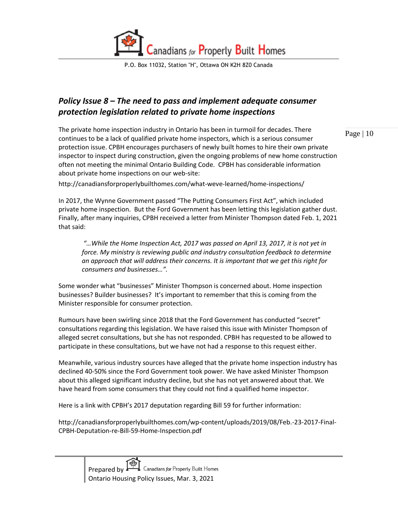

## <span id="page-9-0"></span>*Policy Issue 8 – The need to pass and implement adequate consumer protection legislation related to private home inspections*

The private home inspection industry in Ontario has been in turmoil for decades. There continues to be a lack of qualified private home inspectors, which is a serious consumer protection issue. CPBH encourages purchasers of newly built homes to hire their own private inspector to inspect during construction, given the ongoing problems of new home construction often not meeting the minimal Ontario Building Code. CPBH has considerable information about private home inspections on our web-site:

http://canadiansforproperlybuilthomes.com/what-weve-learned/home-inspections/

In 2017, the Wynne Government passed "The Putting Consumers First Act", which included private home inspection. But the Ford Government has been letting this legislation gather dust. Finally, after many inquiries, CPBH received a letter from Minister Thompson dated Feb. 1, 2021 that said:

*"…While the Home Inspection Act, 2017 was passed on April 13, 2017, it is not yet in force. My ministry is reviewing public and industry consultation feedback to determine an approach that will address their concerns. It is important that we get this right for consumers and businesses…".*

Some wonder what "businesses" Minister Thompson is concerned about. Home inspection businesses? Builder businesses? It's important to remember that this is coming from the Minister responsible for consumer protection.

Rumours have been swirling since 2018 that the Ford Government has conducted "secret" consultations regarding this legislation. We have raised this issue with Minister Thompson of alleged secret consultations, but she has not responded. CPBH has requested to be allowed to participate in these consultations, but we have not had a response to this request either.

Meanwhile, various industry sources have alleged that the private home inspection industry has declined 40-50% since the Ford Government took power. We have asked Minister Thompson about this alleged significant industry decline, but she has not yet answered about that. We have heard from some consumers that they could not find a qualified home inspector.

Here is a link with CPBH's 2017 deputation regarding Bill 59 for further information:

http://canadiansforproperlybuilthomes.com/wp-content/uploads/2019/08/Feb.-23-2017-Final-CPBH-Deputation-re-Bill-59-Home-Inspection.pdf



Page | 10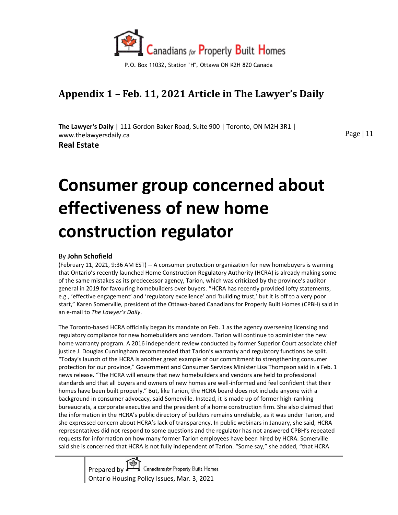

## **Appendix 1 – Feb. 11, 2021 Article in The Lawyer's Daily**

**The Lawyer's Daily** | 111 Gordon Baker Road, Suite 900 | Toronto, ON M2H 3R1 | www.thelawyersdaily.ca **Real Estate** 

Page | 11

# **Consumer group concerned about effectiveness of new home construction regulator**

#### By **John Schofield**

(February 11, 2021, 9:36 AM EST) -- A consumer protection organization for new homebuyers is warning that Ontario's recently launched Home Construction Regulatory Authority (HCRA) is already making some of the same mistakes as its predecessor agency, Tarion, which was criticized by the province's auditor general in 2019 for favouring homebuilders over buyers. "HCRA has recently provided lofty statements, e.g., 'effective engagement' and 'regulatory excellence' and 'building trust,' but it is off to a very poor start," Karen Somerville, president of the Ottawa-based Canadians for Properly Built Homes (CPBH) said in an e-mail to *The Lawyer's Daily*.

The Toronto-based HCRA officially began its mandate on Feb. 1 as the agency overseeing licensing and regulatory compliance for new homebuilders and vendors. Tarion will continue to administer the new home warranty program. A 2016 independent review conducted by former Superior Court associate chief justice J. Douglas Cunningham recommended that Tarion's warranty and regulatory functions be split. "Today's launch of the HCRA is another great example of our commitment to strengthening consumer protection for our province," Government and Consumer Services Minister Lisa Thompson said in a Feb. 1 news release. "The HCRA will ensure that new homebuilders and vendors are held to professional standards and that all buyers and owners of new homes are well-informed and feel confident that their homes have been built properly." But, like Tarion, the HCRA board does not include anyone with a background in consumer advocacy, said Somerville. Instead, it is made up of former high-ranking bureaucrats, a corporate executive and the president of a home construction firm. She also claimed that the information in the HCRA's public directory of builders remains unreliable, as it was under Tarion, and she expressed concern about HCRA's lack of transparency. In public webinars in January, she said, HCRA representatives did not respond to some questions and the regulator has not answered CPBH's repeated requests for information on how many former Tarion employees have been hired by HCRA. Somerville said she is concerned that HCRA is not fully independent of Tarion. "Some say," she added, "that HCRA

> Canadians for Properly Built Homes Prepared by Ontario Housing Policy Issues, Mar. 3, 2021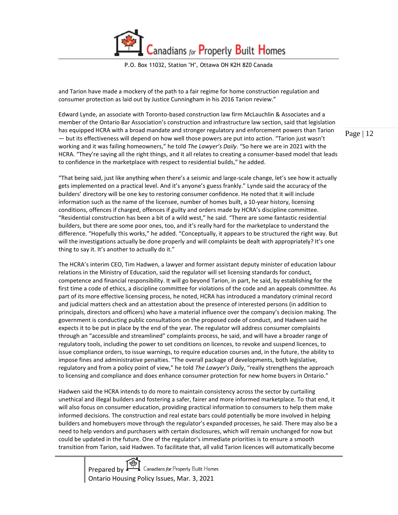Canadians for Properly Built Homes

P.O. Box 11032, Station "H", Ottawa ON K2H 8Z0 Canada

and Tarion have made a mockery of the path to a fair regime for home construction regulation and consumer protection as laid out by Justice Cunningham in his 2016 Tarion review."

Edward Lynde, an associate with Toronto-based construction law firm McLauchlin & Associates and a member of the Ontario Bar Association's construction and infrastructure law section, said that legislation has equipped HCRA with a broad mandate and stronger regulatory and enforcement powers than Tarion — but its effectiveness will depend on how well those powers are put into action. "Tarion just wasn't working and it was failing homeowners," he told *The Lawyer's Daily*. "So here we are in 2021 with the HCRA. "They're saying all the right things, and it all relates to creating a consumer-based model that leads to confidence in the marketplace with respect to residential builds," he added.

"That being said, just like anything when there's a seismic and large-scale change, let's see how it actually gets implemented on a practical level. And it's anyone's guess frankly." Lynde said the accuracy of the builders' directory will be one key to restoring consumer confidence. He noted that it will include information such as the name of the licensee, number of homes built, a 10-year history, licensing conditions, offences if charged, offences if guilty and orders made by HCRA's discipline committee. "Residential construction has been a bit of a wild west," he said. "There are some fantastic residential builders, but there are some poor ones, too, and it's really hard for the marketplace to understand the difference. "Hopefully this works," he added. "Conceptually, it appears to be structured the right way. But will the investigations actually be done properly and will complaints be dealt with appropriately? It's one thing to say it. It's another to actually do it."

The HCRA's interim CEO, Tim Hadwen, a lawyer and former assistant deputy minister of education labour relations in the Ministry of Education, said the regulator will set licensing standards for conduct, competence and financial responsibility. It will go beyond Tarion, in part, he said, by establishing for the first time a code of ethics, a discipline committee for violations of the code and an appeals committee. As part of its more effective licensing process, he noted, HCRA has introduced a mandatory criminal record and judicial matters check and an attestation about the presence of interested persons (in addition to principals, directors and officers) who have a material influence over the company's decision making. The government is conducting public consultations on the proposed code of conduct, and Hadwen said he expects it to be put in place by the end of the year. The regulator will address consumer complaints through an "accessible and streamlined" complaints process, he said, and will have a broader range of regulatory tools, including the power to set conditions on licences, to revoke and suspend licences, to issue compliance orders, to issue warnings, to require education courses and, in the future, the ability to impose fines and administrative penalties. "The overall package of developments, both legislative, regulatory and from a policy point of view," he told *The Lawyer's Daily*, "really strengthens the approach to licensing and compliance and does enhance consumer protection for new home buyers in Ontario."

Hadwen said the HCRA intends to do more to maintain consistency across the sector by curtailing unethical and illegal builders and fostering a safer, fairer and more informed marketplace. To that end, it will also focus on consumer education, providing practical information to consumers to help them make informed decisions. The construction and real estate bars could potentially be more involved in helping builders and homebuyers move through the regulator's expanded processes, he said. There may also be a need to help vendors and purchasers with certain disclosures, which will remain unchanged for now but could be updated in the future. One of the regulator's immediate priorities is to ensure a smooth transition from Tarion, said Hadwen. To facilitate that, all valid Tarion licences will automatically become

> Prepared by Ontario Housing Policy Issues, Mar. 3, 2021<br>Ontario Housing Policy Issues, Mar. 3, 2021

Page | 12